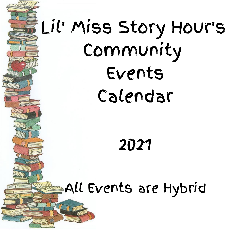## Lil' Miss Story Hour's Community Events Calendar

2021

All Events are Hybrid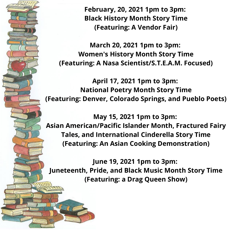**February, 20, 2021 1pm to 3pm: Black History Month Story Time (Featuring: A Vendor Fair) March 20, 2021 1pm to 3pm: Women's History Month Story Time (Featuring: A Nasa Scientist/S.T.E.A.M. Focused) April 17, 2021 1pm to 3pm: National Poetry Month Story Time (Featuring: Denver, Colorado Springs, and Pueblo Poets)**

**May 15, 2021 1pm to 3pm: Asian American/Pacific Islander Month, Fractured Fairy Tales, and International Cinderella Story Time (Featuring: An Asian Cooking Demonstration)**

**June 19, 2021 1pm to 3pm: Juneteenth, Pride, and Black Music Month Story Time (Featuring: a Drag Queen Show)**